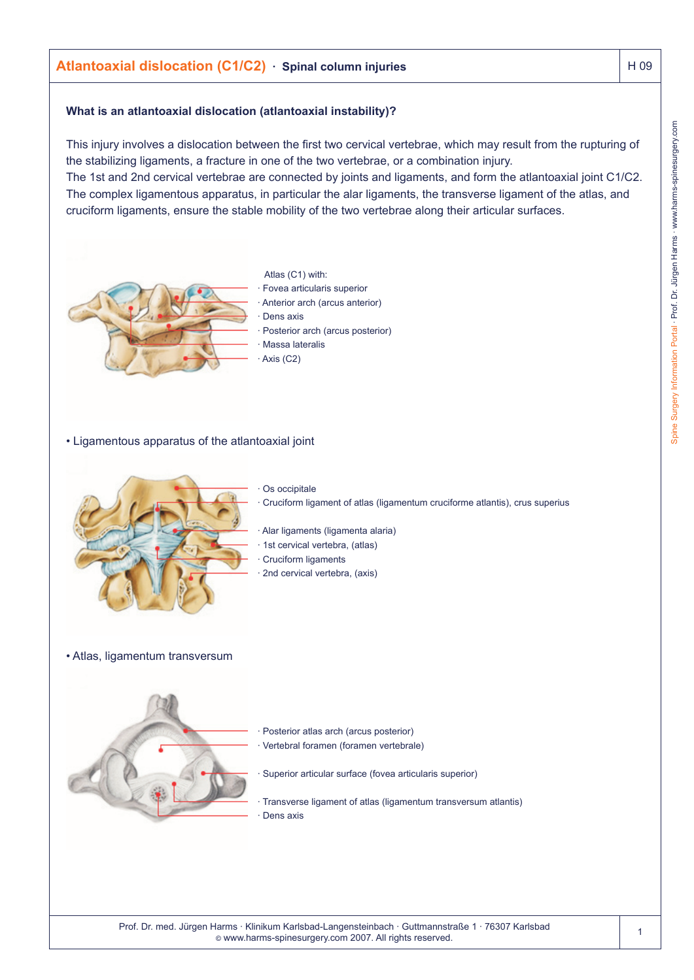# **Atlantoaxial dislocation (C1/C2) · Spinal column injuries Atlantoaxial dislocation (C1/C2) · Spinal column injuries**

#### **What is an atlantoaxial dislocation (atlantoaxial instability)?**

This injury involves a dislocation between the first two cervical vertebrae, which may result from the rupturing of the stabilizing ligaments, a fracture in one of the two vertebrae, or a combination injury. The 1st and 2nd cervical vertebrae are connected by joints and ligaments, and form the atlantoaxial joint C1/C2. The complex ligamentous apparatus, in particular the alar ligaments, the transverse ligament of the atlas, and cruciform ligaments, ensure the stable mobility of the two vertebrae along their articular surfaces.



- Atlas (C1) with: · Fovea articularis superior Anterior arch (arcus anterior) Dens axis Posterior arch (arcus posterior) Massa lateralis Axis (C2)
- Ligamentous apparatus of the atlantoaxial joint



Os occipitale

· Cruciform ligament of atlas (ligamentum cruciforme atlantis), crus superius

- · Alar ligaments (ligamenta alaria)
- 1st cervical vertebra, (atlas)
- Cruciform ligaments
- 2nd cervical vertebra, (axis)

#### • Atlas, ligamentum transversum



- Posterior atlas arch (arcus posterior)
- · Vertebral foramen (foramen vertebrale)
- Superior articular surface (fovea articularis superior)
- · Transverse ligament of atlas (ligamentum transversum atlantis) Dens axis

Prof. Dr. med. Jürgen Harms · Klinikum Karlsbad-Langensteinbach · Guttmannstraße 1 · 76307 Karlsbad © www.harms-spinesurgery.com 2007. All rights reserved.